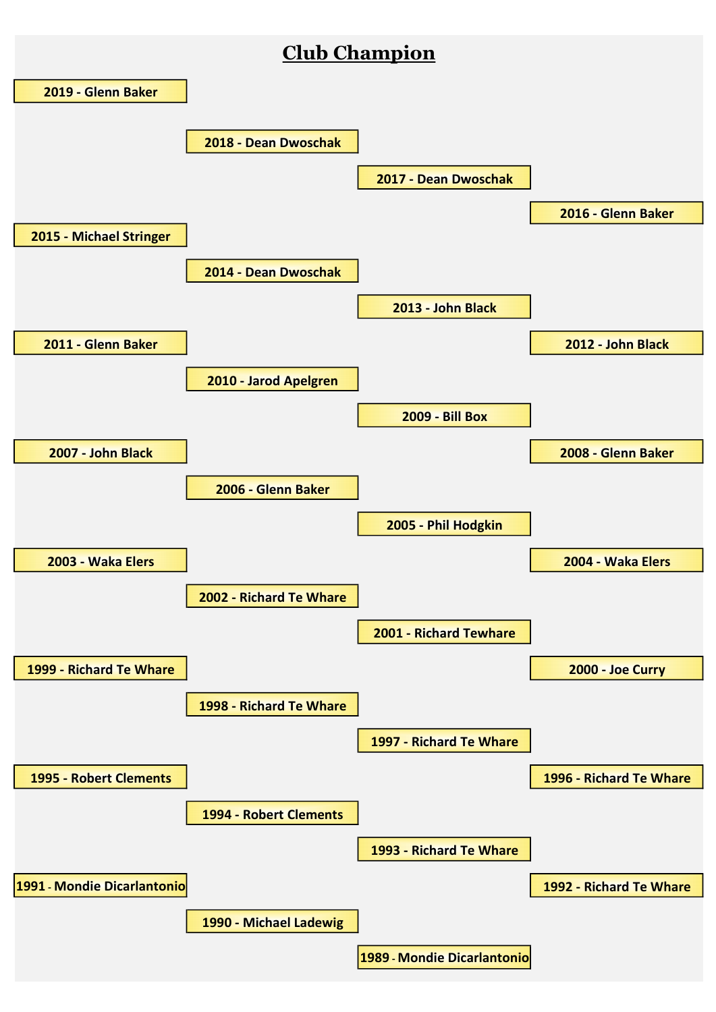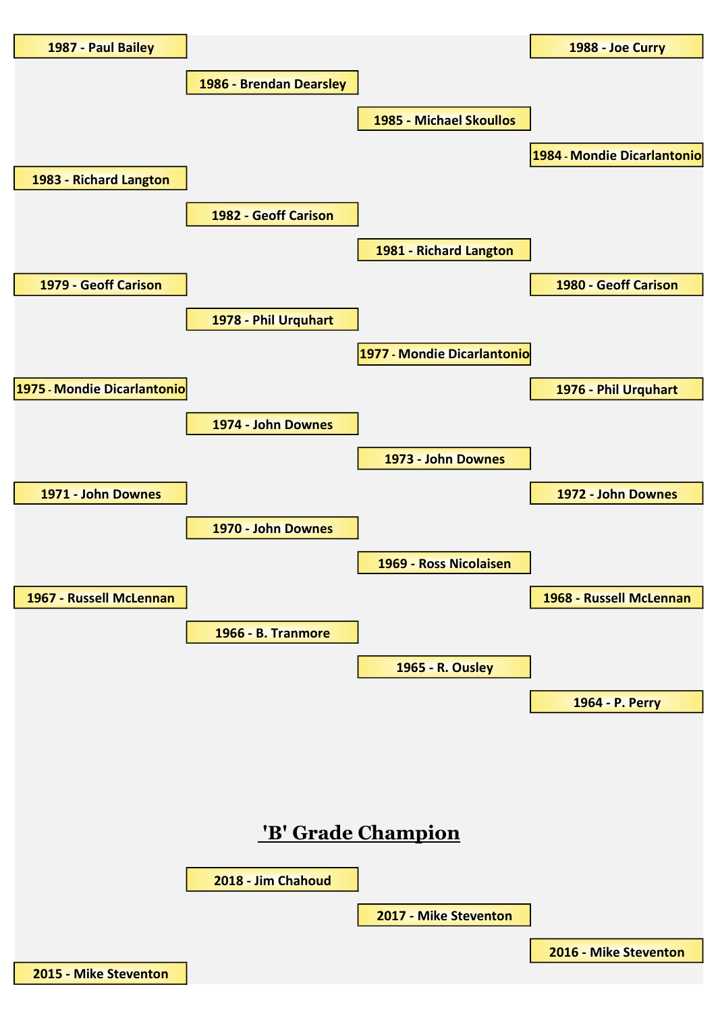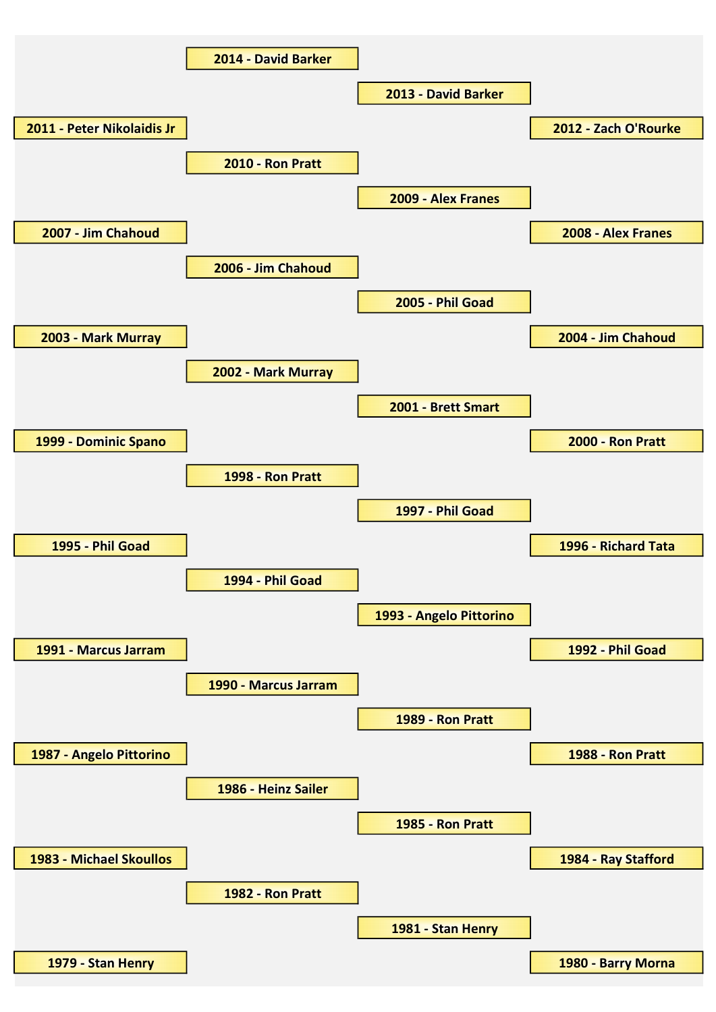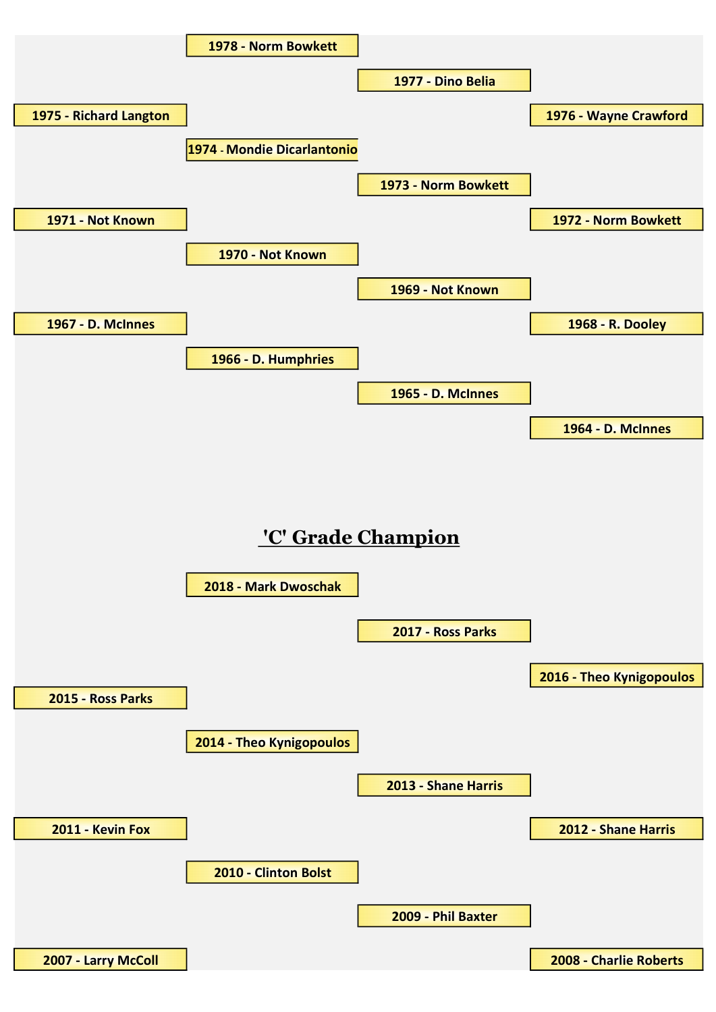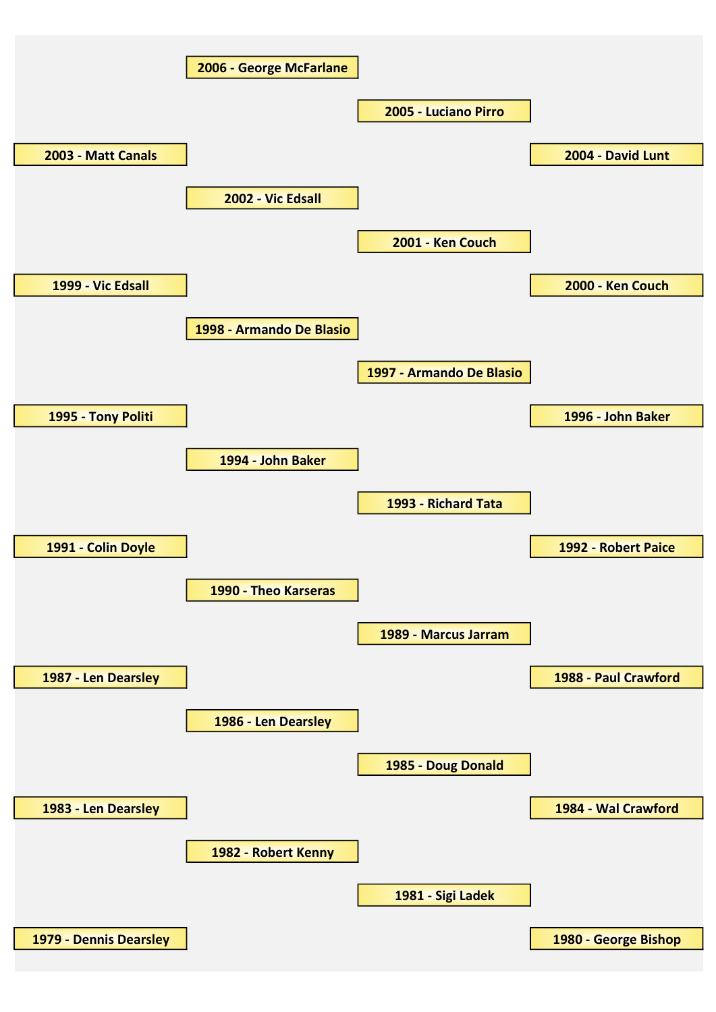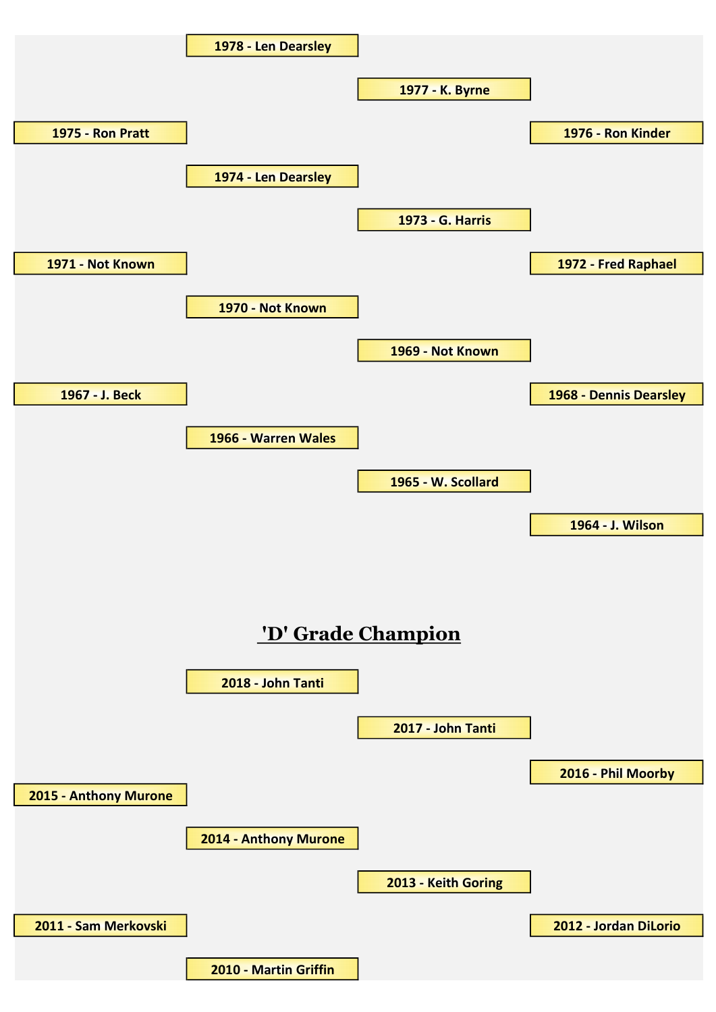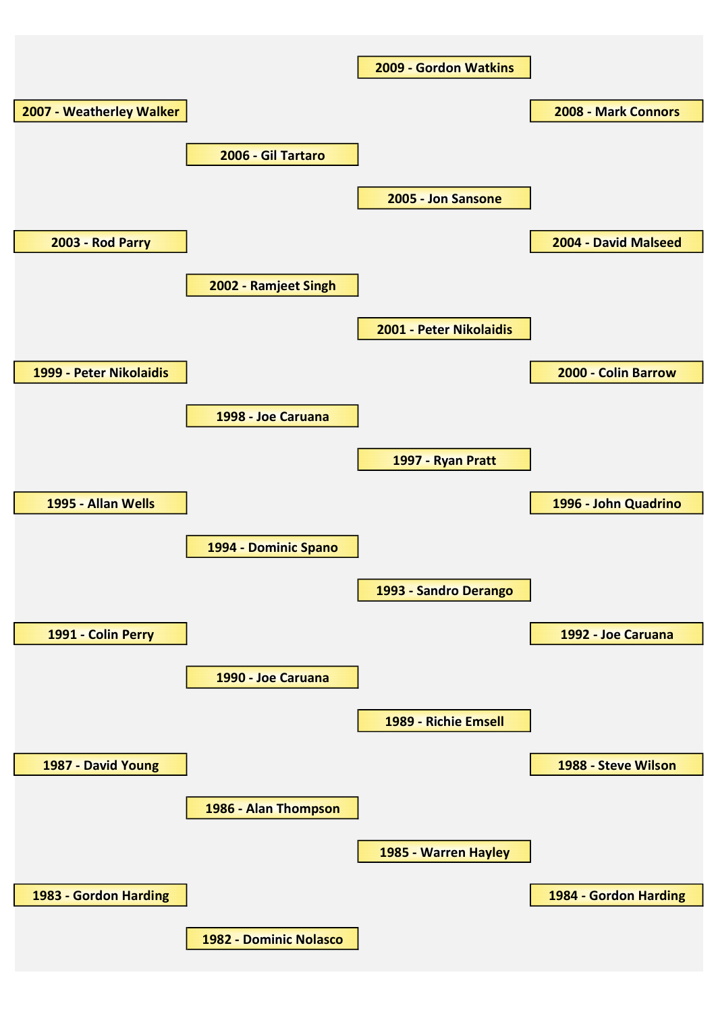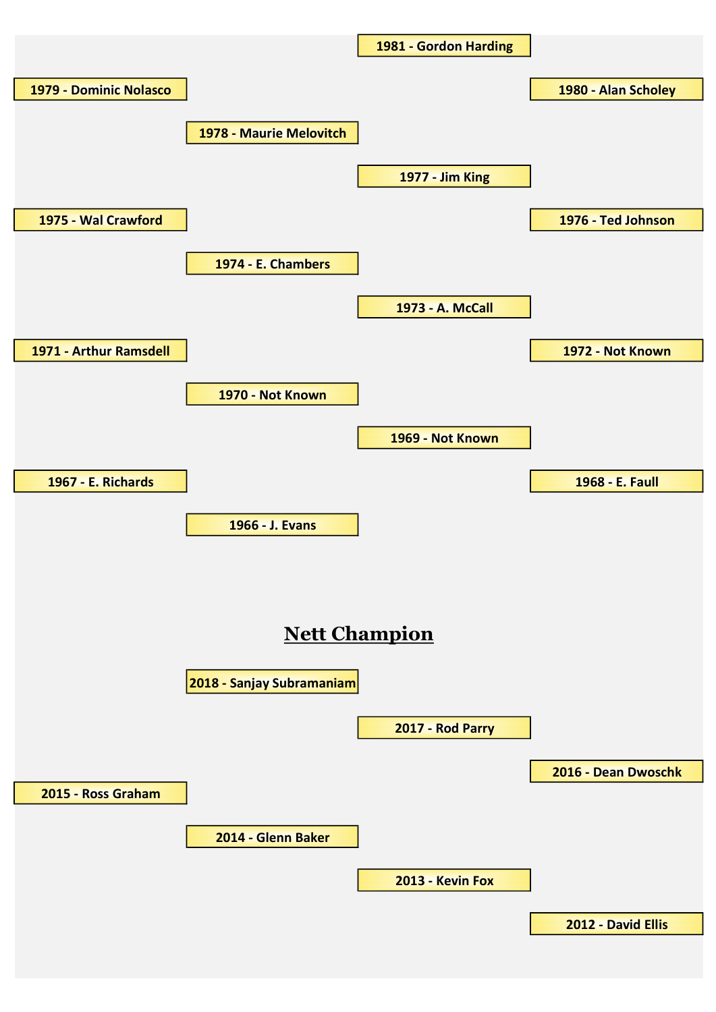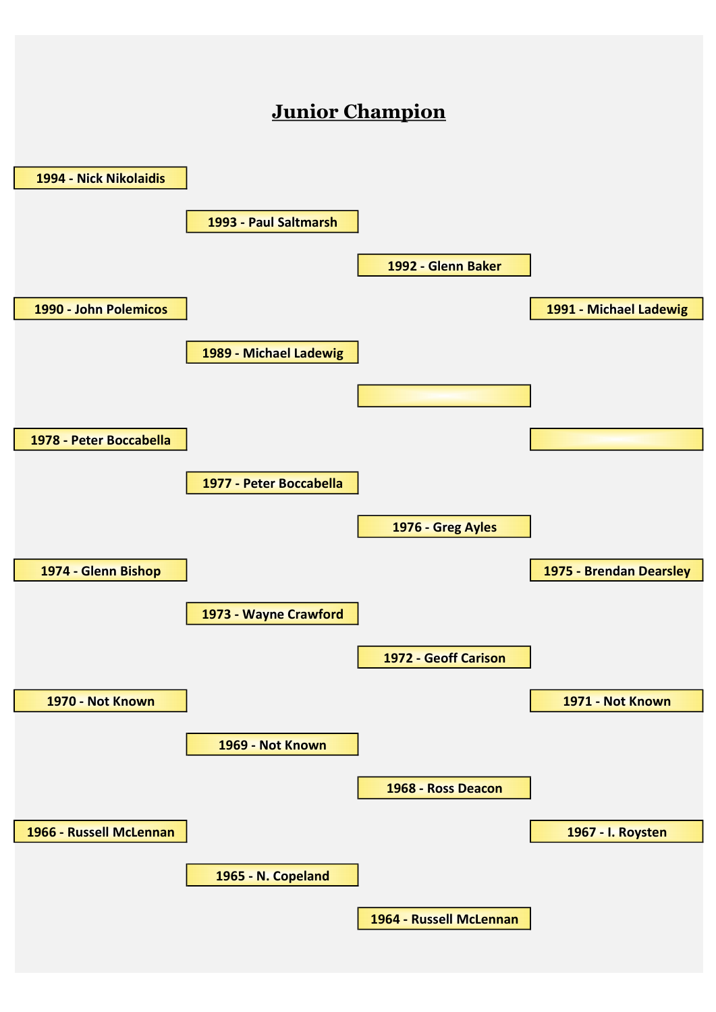